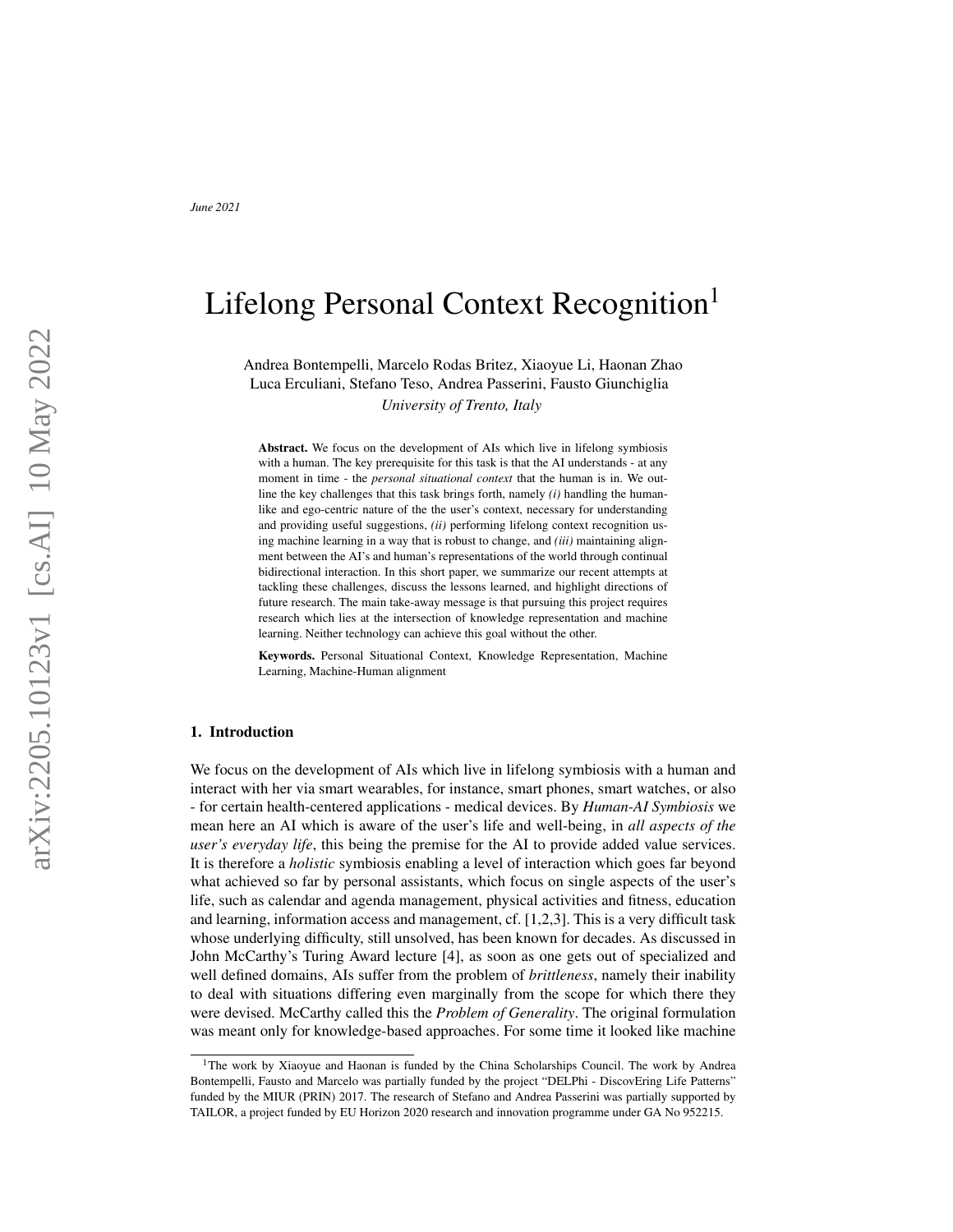# Lifelong Personal Context Recognition<sup>1</sup>

Andrea Bontempelli, Marcelo Rodas Britez, Xiaoyue Li, Haonan Zhao Luca Erculiani, Stefano Teso, Andrea Passerini, Fausto Giunchiglia

*University of Trento, Italy*

Abstract. We focus on the development of AIs which live in lifelong symbiosis with a human. The key prerequisite for this task is that the AI understands - at any moment in time - the *personal situational context* that the human is in. We outline the key challenges that this task brings forth, namely *(i)* handling the humanlike and ego-centric nature of the the user's context, necessary for understanding and providing useful suggestions, *(ii)* performing lifelong context recognition using machine learning in a way that is robust to change, and *(iii)* maintaining alignment between the AI's and human's representations of the world through continual bidirectional interaction. In this short paper, we summarize our recent attempts at tackling these challenges, discuss the lessons learned, and highlight directions of future research. The main take-away message is that pursuing this project requires research which lies at the intersection of knowledge representation and machine learning. Neither technology can achieve this goal without the other.

Keywords. Personal Situational Context, Knowledge Representation, Machine Learning, Machine-Human alignment

# 1. Introduction

We focus on the development of AIs which live in lifelong symbiosis with a human and interact with her via smart wearables, for instance, smart phones, smart watches, or also - for certain health-centered applications - medical devices. By *Human-AI Symbiosis* we mean here an AI which is aware of the user's life and well-being, in *all aspects of the user's everyday life*, this being the premise for the AI to provide added value services. It is therefore a *holistic* symbiosis enabling a level of interaction which goes far beyond what achieved so far by personal assistants, which focus on single aspects of the user's life, such as calendar and agenda management, physical activities and fitness, education and learning, information access and management, cf. [\[1,](#page-6-0)[2,](#page-6-1)[3\]](#page-6-2). This is a very difficult task whose underlying difficulty, still unsolved, has been known for decades. As discussed in John McCarthy's Turing Award lecture [\[4\]](#page-6-3), as soon as one gets out of specialized and well defined domains, AIs suffer from the problem of *brittleness*, namely their inability to deal with situations differing even marginally from the scope for which there they were devised. McCarthy called this the *Problem of Generality*. The original formulation was meant only for knowledge-based approaches. For some time it looked like machine

<sup>&</sup>lt;sup>1</sup>The work by Xiaoyue and Haonan is funded by the China Scholarships Council. The work by Andrea Bontempelli, Fausto and Marcelo was partially funded by the project "DELPhi - DiscovEring Life Patterns" funded by the MIUR (PRIN) 2017. The research of Stefano and Andrea Passerini was partially supported by TAILOR, a project funded by EU Horizon 2020 research and innovation programme under GA No 952215.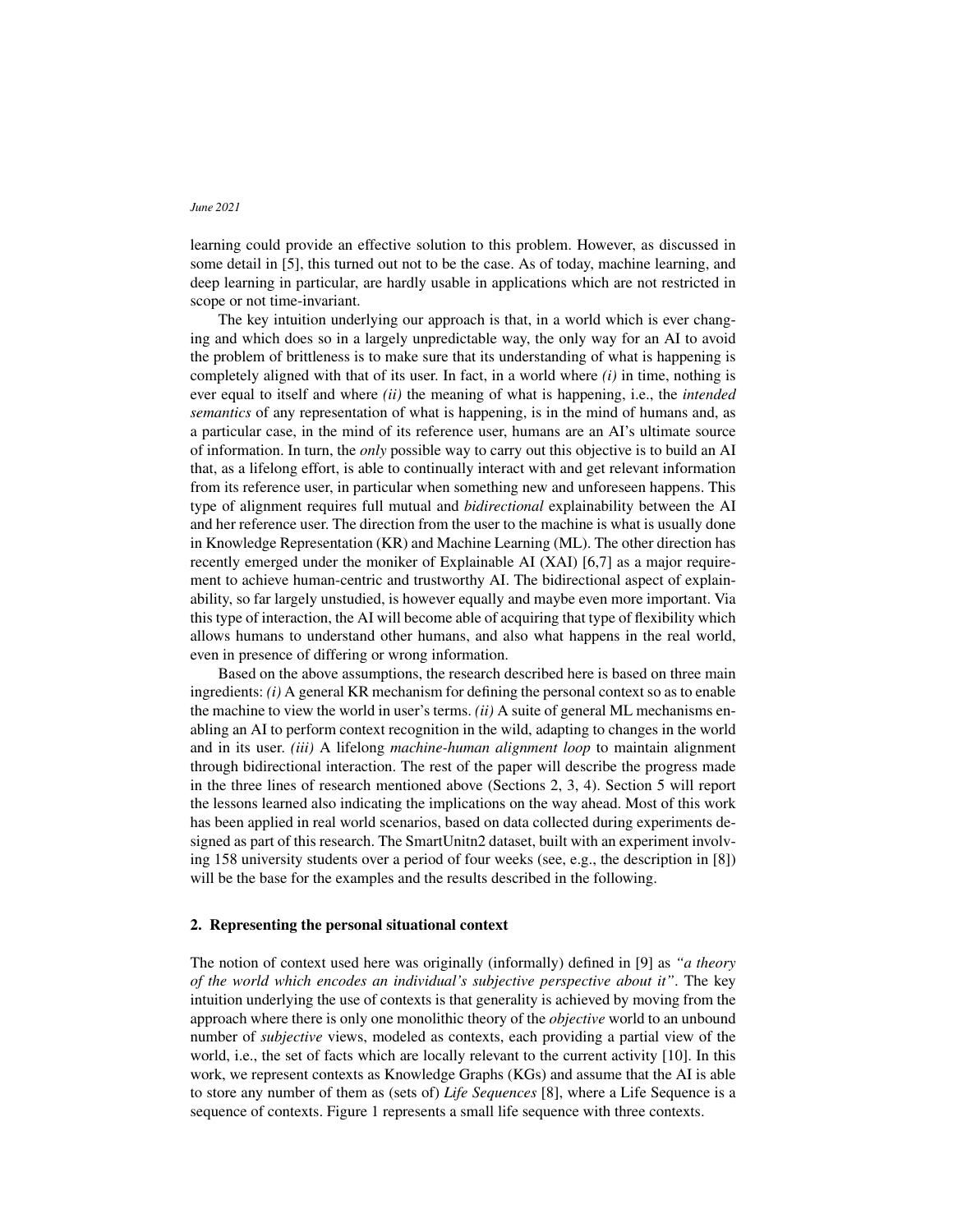learning could provide an effective solution to this problem. However, as discussed in some detail in [\[5\]](#page-6-4), this turned out not to be the case. As of today, machine learning, and deep learning in particular, are hardly usable in applications which are not restricted in scope or not time-invariant.

The key intuition underlying our approach is that, in a world which is ever changing and which does so in a largely unpredictable way, the only way for an AI to avoid the problem of brittleness is to make sure that its understanding of what is happening is completely aligned with that of its user. In fact, in a world where *(i)* in time, nothing is ever equal to itself and where *(ii)* the meaning of what is happening, i.e., the *intended semantics* of any representation of what is happening, is in the mind of humans and, as a particular case, in the mind of its reference user, humans are an AI's ultimate source of information. In turn, the *only* possible way to carry out this objective is to build an AI that, as a lifelong effort, is able to continually interact with and get relevant information from its reference user, in particular when something new and unforeseen happens. This type of alignment requires full mutual and *bidirectional* explainability between the AI and her reference user. The direction from the user to the machine is what is usually done in Knowledge Representation (KR) and Machine Learning (ML). The other direction has recently emerged under the moniker of Explainable AI (XAI) [\[6,](#page-6-5)[7\]](#page-6-6) as a major requirement to achieve human-centric and trustworthy AI. The bidirectional aspect of explainability, so far largely unstudied, is however equally and maybe even more important. Via this type of interaction, the AI will become able of acquiring that type of flexibility which allows humans to understand other humans, and also what happens in the real world, even in presence of differing or wrong information.

Based on the above assumptions, the research described here is based on three main ingredients: *(i)* A general KR mechanism for defining the personal context so as to enable the machine to view the world in user's terms. *(ii)* A suite of general ML mechanisms enabling an AI to perform context recognition in the wild, adapting to changes in the world and in its user. *(iii)* A lifelong *machine-human alignment loop* to maintain alignment through bidirectional interaction. The rest of the paper will describe the progress made in the three lines of research mentioned above (Sections [2,](#page-1-0) [3,](#page-2-0) [4\)](#page-4-0). Section [5](#page-5-0) will report the lessons learned also indicating the implications on the way ahead. Most of this work has been applied in real world scenarios, based on data collected during experiments designed as part of this research. The SmartUnitn2 dataset, built with an experiment involving 158 university students over a period of four weeks (see, e.g., the description in [\[8\]](#page-6-7)) will be the base for the examples and the results described in the following.

# <span id="page-1-0"></span>2. Representing the personal situational context

The notion of context used here was originally (informally) defined in [\[9\]](#page-6-8) as *"a theory of the world which encodes an individual's subjective perspective about it"*. The key intuition underlying the use of contexts is that generality is achieved by moving from the approach where there is only one monolithic theory of the *objective* world to an unbound number of *subjective* views, modeled as contexts, each providing a partial view of the world, i.e., the set of facts which are locally relevant to the current activity [\[10\]](#page-6-9). In this work, we represent contexts as Knowledge Graphs (KGs) and assume that the AI is able to store any number of them as (sets of) *Life Sequences* [\[8\]](#page-6-7), where a Life Sequence is a sequence of contexts. Figure [1](#page-2-1) represents a small life sequence with three contexts.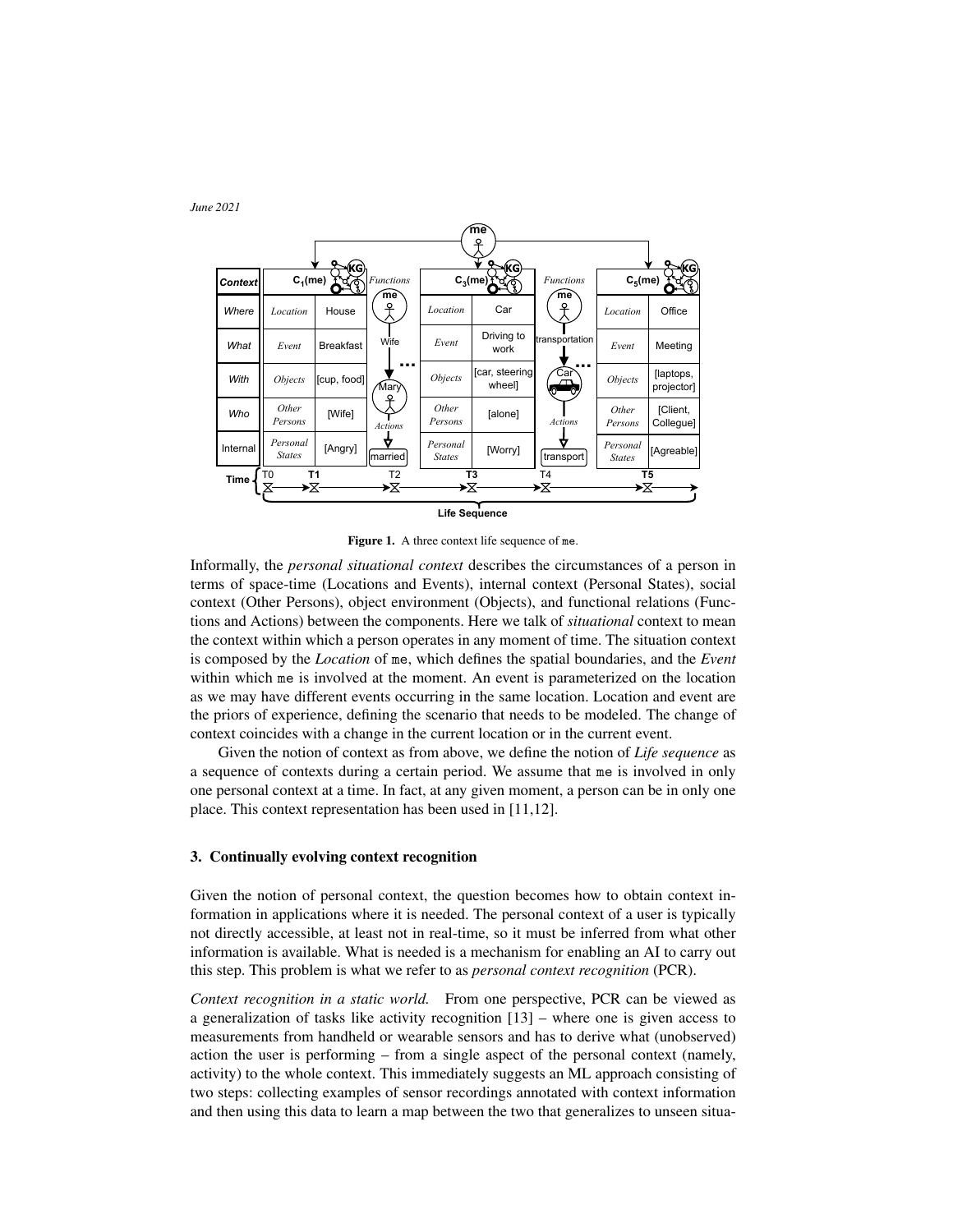

<span id="page-2-1"></span>Figure 1. A three context life sequence of me.

Informally, the *personal situational context* describes the circumstances of a person in terms of space-time (Locations and Events), internal context (Personal States), social context (Other Persons), object environment (Objects), and functional relations (Functions and Actions) between the components. Here we talk of *situational* context to mean the context within which a person operates in any moment of time. The situation context is composed by the *Location* of me, which defines the spatial boundaries, and the *Event* within which me is involved at the moment. An event is parameterized on the location as we may have different events occurring in the same location. Location and event are the priors of experience, defining the scenario that needs to be modeled. The change of context coincides with a change in the current location or in the current event.

Given the notion of context as from above, we define the notion of *Life sequence* as a sequence of contexts during a certain period. We assume that me is involved in only one personal context at a time. In fact, at any given moment, a person can be in only one place. This context representation has been used in [\[11](#page-6-10)[,12\]](#page-6-11).

# <span id="page-2-0"></span>3. Continually evolving context recognition

Given the notion of personal context, the question becomes how to obtain context information in applications where it is needed. The personal context of a user is typically not directly accessible, at least not in real-time, so it must be inferred from what other information is available. What is needed is a mechanism for enabling an AI to carry out this step. This problem is what we refer to as *personal context recognition* (PCR).

*Context recognition in a static world.* From one perspective, PCR can be viewed as a generalization of tasks like activity recognition [\[13\]](#page-6-12) – where one is given access to measurements from handheld or wearable sensors and has to derive what (unobserved) action the user is performing – from a single aspect of the personal context (namely, activity) to the whole context. This immediately suggests an ML approach consisting of two steps: collecting examples of sensor recordings annotated with context information and then using this data to learn a map between the two that generalizes to unseen situa-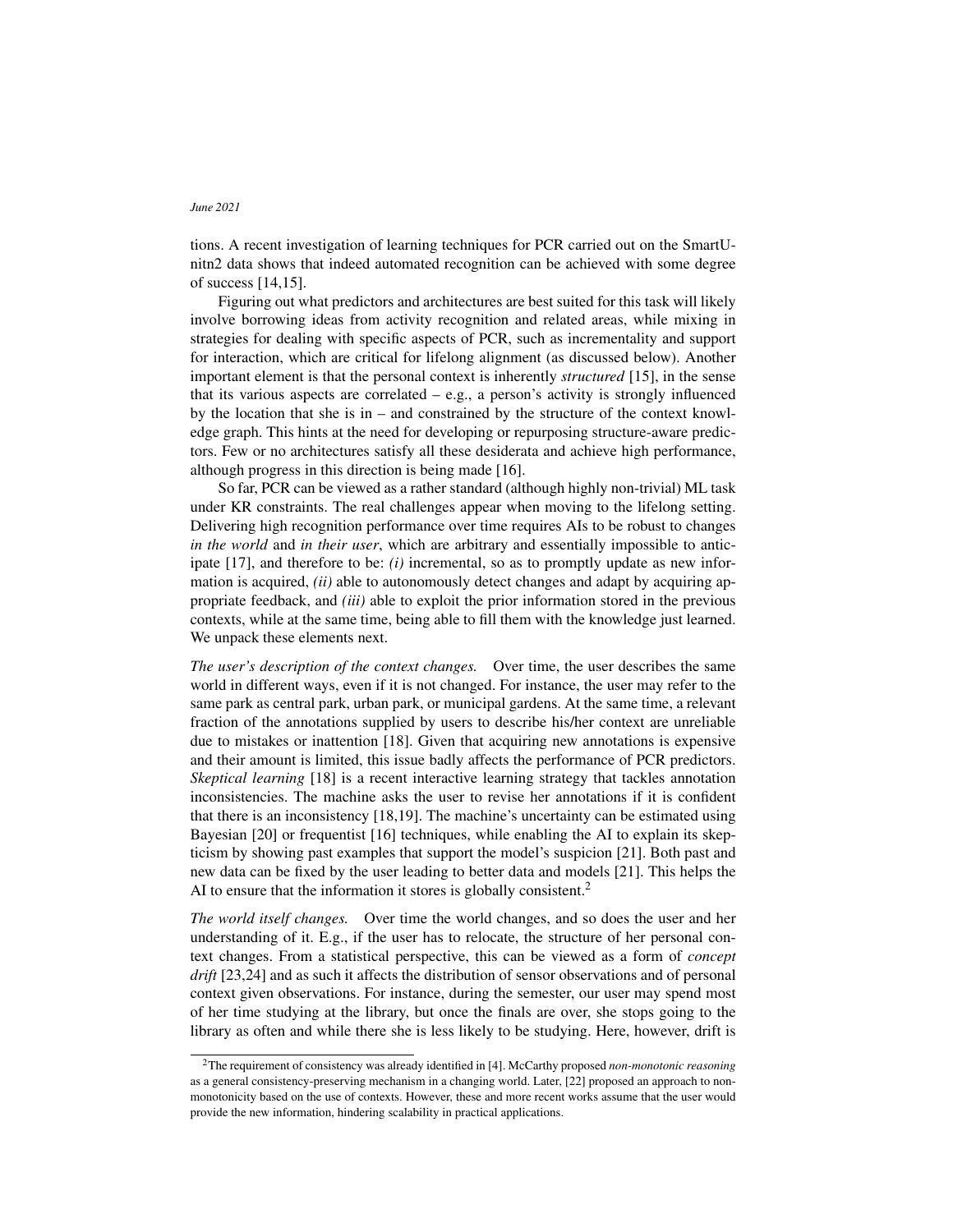tions. A recent investigation of learning techniques for PCR carried out on the SmartUnitn2 data shows that indeed automated recognition can be achieved with some degree of success [\[14,](#page-6-13)[15\]](#page-6-14).

Figuring out what predictors and architectures are best suited for this task will likely involve borrowing ideas from activity recognition and related areas, while mixing in strategies for dealing with specific aspects of PCR, such as incrementality and support for interaction, which are critical for lifelong alignment (as discussed below). Another important element is that the personal context is inherently *structured* [\[15\]](#page-6-14), in the sense that its various aspects are correlated  $-$  e.g., a person's activity is strongly influenced by the location that she is in – and constrained by the structure of the context knowledge graph. This hints at the need for developing or repurposing structure-aware predictors. Few or no architectures satisfy all these desiderata and achieve high performance, although progress in this direction is being made [\[16\]](#page-6-15).

So far, PCR can be viewed as a rather standard (although highly non-trivial) ML task under KR constraints. The real challenges appear when moving to the lifelong setting. Delivering high recognition performance over time requires AIs to be robust to changes *in the world* and *in their user*, which are arbitrary and essentially impossible to anticipate [\[17\]](#page-6-16), and therefore to be: *(i)* incremental, so as to promptly update as new information is acquired, *(ii)* able to autonomously detect changes and adapt by acquiring appropriate feedback, and *(iii)* able to exploit the prior information stored in the previous contexts, while at the same time, being able to fill them with the knowledge just learned. We unpack these elements next.

*The user's description of the context changes.* Over time, the user describes the same world in different ways, even if it is not changed. For instance, the user may refer to the same park as central park, urban park, or municipal gardens. At the same time, a relevant fraction of the annotations supplied by users to describe his/her context are unreliable due to mistakes or inattention [\[18\]](#page-6-17). Given that acquiring new annotations is expensive and their amount is limited, this issue badly affects the performance of PCR predictors. *Skeptical learning* [\[18\]](#page-6-17) is a recent interactive learning strategy that tackles annotation inconsistencies. The machine asks the user to revise her annotations if it is confident that there is an inconsistency [\[18,](#page-6-17)[19\]](#page-6-18). The machine's uncertainty can be estimated using Bayesian [\[20\]](#page-6-19) or frequentist [\[16\]](#page-6-15) techniques, while enabling the AI to explain its skepticism by showing past examples that support the model's suspicion [\[21\]](#page-7-0). Both past and new data can be fixed by the user leading to better data and models [\[21\]](#page-7-0). This helps the AI to ensure that the information it stores is globally consistent.<sup>[2](#page-3-0)</sup>

*The world itself changes.* Over time the world changes, and so does the user and her understanding of it. E.g., if the user has to relocate, the structure of her personal context changes. From a statistical perspective, this can be viewed as a form of *concept drift* [\[23](#page-7-1)[,24\]](#page-7-2) and as such it affects the distribution of sensor observations and of personal context given observations. For instance, during the semester, our user may spend most of her time studying at the library, but once the finals are over, she stops going to the library as often and while there she is less likely to be studying. Here, however, drift is

<span id="page-3-0"></span><sup>2</sup>The requirement of consistency was already identified in [\[4\]](#page-6-3). McCarthy proposed *non-monotonic reasoning* as a general consistency-preserving mechanism in a changing world. Later, [\[22\]](#page-7-3) proposed an approach to nonmonotonicity based on the use of contexts. However, these and more recent works assume that the user would provide the new information, hindering scalability in practical applications.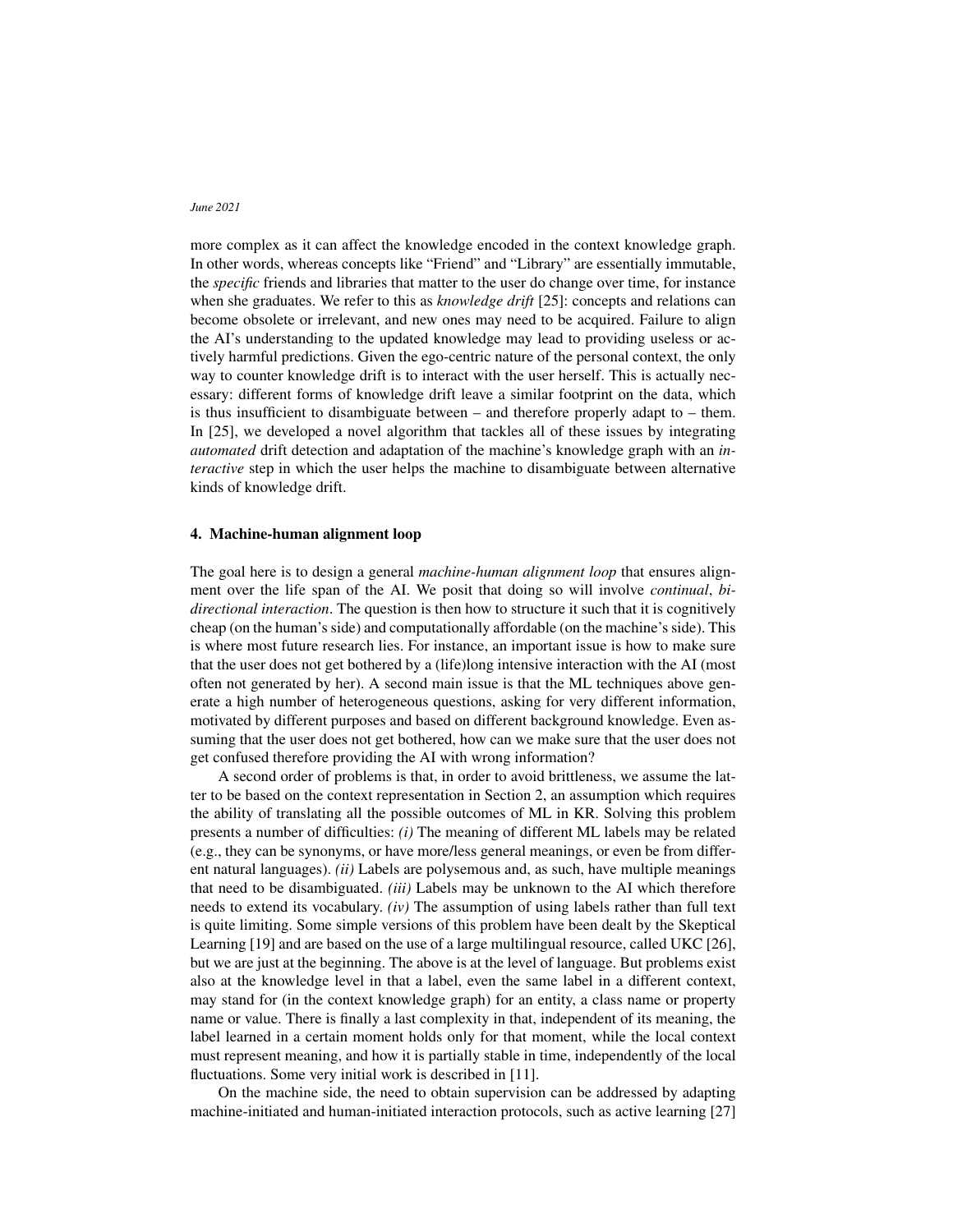more complex as it can affect the knowledge encoded in the context knowledge graph. In other words, whereas concepts like "Friend" and "Library" are essentially immutable, the *specific* friends and libraries that matter to the user do change over time, for instance when she graduates. We refer to this as *knowledge drift* [\[25\]](#page-7-4): concepts and relations can become obsolete or irrelevant, and new ones may need to be acquired. Failure to align the AI's understanding to the updated knowledge may lead to providing useless or actively harmful predictions. Given the ego-centric nature of the personal context, the only way to counter knowledge drift is to interact with the user herself. This is actually necessary: different forms of knowledge drift leave a similar footprint on the data, which is thus insufficient to disambiguate between – and therefore properly adapt to – them. In [\[25\]](#page-7-4), we developed a novel algorithm that tackles all of these issues by integrating *automated* drift detection and adaptation of the machine's knowledge graph with an *interactive* step in which the user helps the machine to disambiguate between alternative kinds of knowledge drift.

### <span id="page-4-0"></span>4. Machine-human alignment loop

The goal here is to design a general *machine-human alignment loop* that ensures alignment over the life span of the AI. We posit that doing so will involve *continual*, *bidirectional interaction*. The question is then how to structure it such that it is cognitively cheap (on the human's side) and computationally affordable (on the machine's side). This is where most future research lies. For instance, an important issue is how to make sure that the user does not get bothered by a (life)long intensive interaction with the AI (most often not generated by her). A second main issue is that the ML techniques above generate a high number of heterogeneous questions, asking for very different information, motivated by different purposes and based on different background knowledge. Even assuming that the user does not get bothered, how can we make sure that the user does not get confused therefore providing the AI with wrong information?

A second order of problems is that, in order to avoid brittleness, we assume the latter to be based on the context representation in Section [2,](#page-1-0) an assumption which requires the ability of translating all the possible outcomes of ML in KR. Solving this problem presents a number of difficulties: *(i)* The meaning of different ML labels may be related (e.g., they can be synonyms, or have more/less general meanings, or even be from different natural languages). *(ii)* Labels are polysemous and, as such, have multiple meanings that need to be disambiguated. *(iii)* Labels may be unknown to the AI which therefore needs to extend its vocabulary. *(iv)* The assumption of using labels rather than full text is quite limiting. Some simple versions of this problem have been dealt by the Skeptical Learning [\[19\]](#page-6-18) and are based on the use of a large multilingual resource, called UKC [\[26\]](#page-7-5), but we are just at the beginning. The above is at the level of language. But problems exist also at the knowledge level in that a label, even the same label in a different context, may stand for (in the context knowledge graph) for an entity, a class name or property name or value. There is finally a last complexity in that, independent of its meaning, the label learned in a certain moment holds only for that moment, while the local context must represent meaning, and how it is partially stable in time, independently of the local fluctuations. Some very initial work is described in [\[11\]](#page-6-10).

On the machine side, the need to obtain supervision can be addressed by adapting machine-initiated and human-initiated interaction protocols, such as active learning [\[27\]](#page-7-6)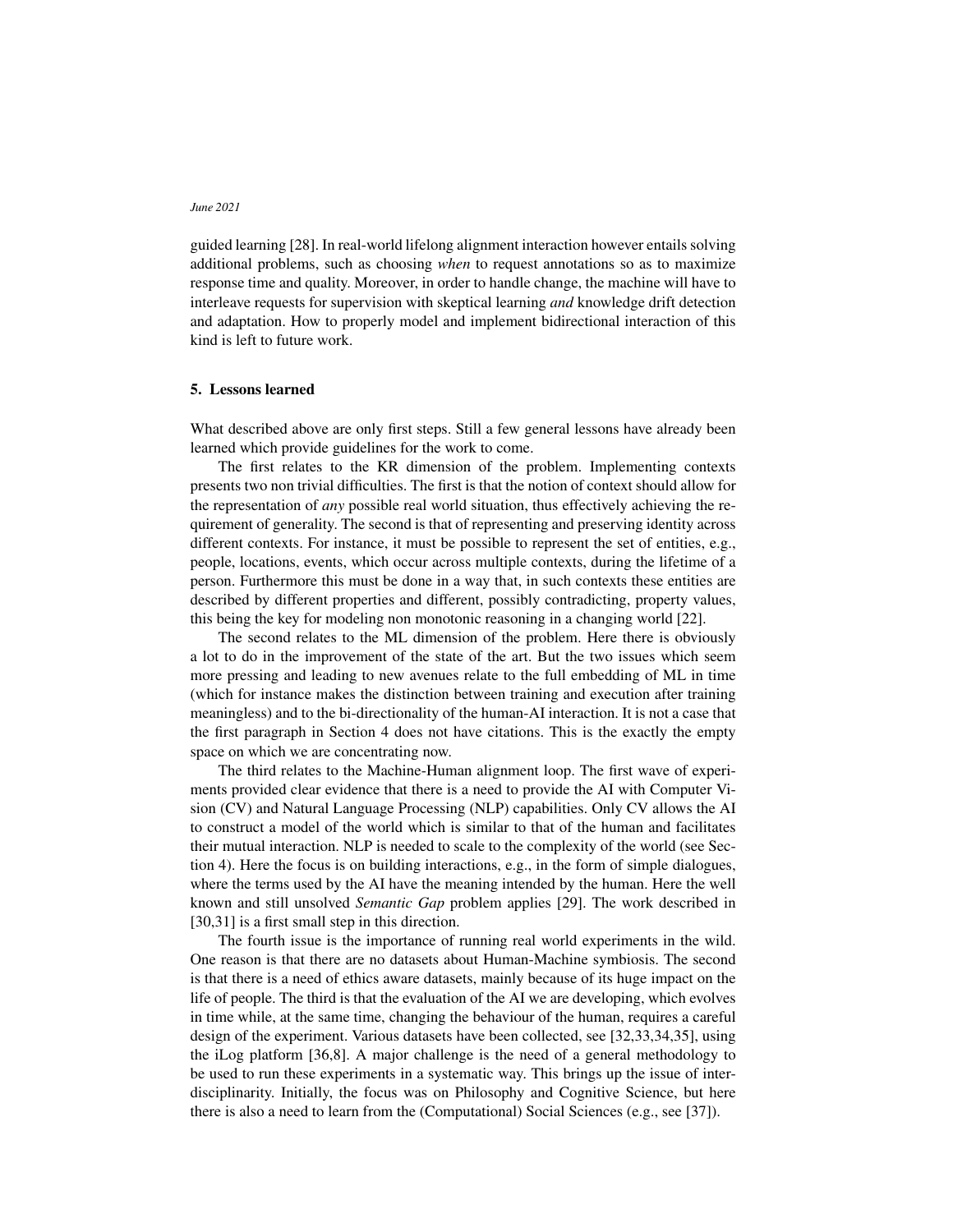guided learning [\[28\]](#page-7-7). In real-world lifelong alignment interaction however entails solving additional problems, such as choosing *when* to request annotations so as to maximize response time and quality. Moreover, in order to handle change, the machine will have to interleave requests for supervision with skeptical learning *and* knowledge drift detection and adaptation. How to properly model and implement bidirectional interaction of this kind is left to future work.

#### <span id="page-5-0"></span>5. Lessons learned

What described above are only first steps. Still a few general lessons have already been learned which provide guidelines for the work to come.

The first relates to the KR dimension of the problem. Implementing contexts presents two non trivial difficulties. The first is that the notion of context should allow for the representation of *any* possible real world situation, thus effectively achieving the requirement of generality. The second is that of representing and preserving identity across different contexts. For instance, it must be possible to represent the set of entities, e.g., people, locations, events, which occur across multiple contexts, during the lifetime of a person. Furthermore this must be done in a way that, in such contexts these entities are described by different properties and different, possibly contradicting, property values, this being the key for modeling non monotonic reasoning in a changing world [\[22\]](#page-7-3).

The second relates to the ML dimension of the problem. Here there is obviously a lot to do in the improvement of the state of the art. But the two issues which seem more pressing and leading to new avenues relate to the full embedding of ML in time (which for instance makes the distinction between training and execution after training meaningless) and to the bi-directionality of the human-AI interaction. It is not a case that the first paragraph in Section [4](#page-4-0) does not have citations. This is the exactly the empty space on which we are concentrating now.

The third relates to the Machine-Human alignment loop. The first wave of experiments provided clear evidence that there is a need to provide the AI with Computer Vision (CV) and Natural Language Processing (NLP) capabilities. Only CV allows the AI to construct a model of the world which is similar to that of the human and facilitates their mutual interaction. NLP is needed to scale to the complexity of the world (see Section [4\)](#page-4-0). Here the focus is on building interactions, e.g., in the form of simple dialogues, where the terms used by the AI have the meaning intended by the human. Here the well known and still unsolved *Semantic Gap* problem applies [\[29\]](#page-7-8). The work described in [\[30,](#page-7-9)[31\]](#page-7-10) is a first small step in this direction.

The fourth issue is the importance of running real world experiments in the wild. One reason is that there are no datasets about Human-Machine symbiosis. The second is that there is a need of ethics aware datasets, mainly because of its huge impact on the life of people. The third is that the evaluation of the AI we are developing, which evolves in time while, at the same time, changing the behaviour of the human, requires a careful design of the experiment. Various datasets have been collected, see [\[32](#page-7-11)[,33,](#page-7-12)[34](#page-7-13)[,35\]](#page-7-14), using the iLog platform [\[36,](#page-7-15)[8\]](#page-6-7). A major challenge is the need of a general methodology to be used to run these experiments in a systematic way. This brings up the issue of interdisciplinarity. Initially, the focus was on Philosophy and Cognitive Science, but here there is also a need to learn from the (Computational) Social Sciences (e.g., see [\[37\]](#page-7-16)).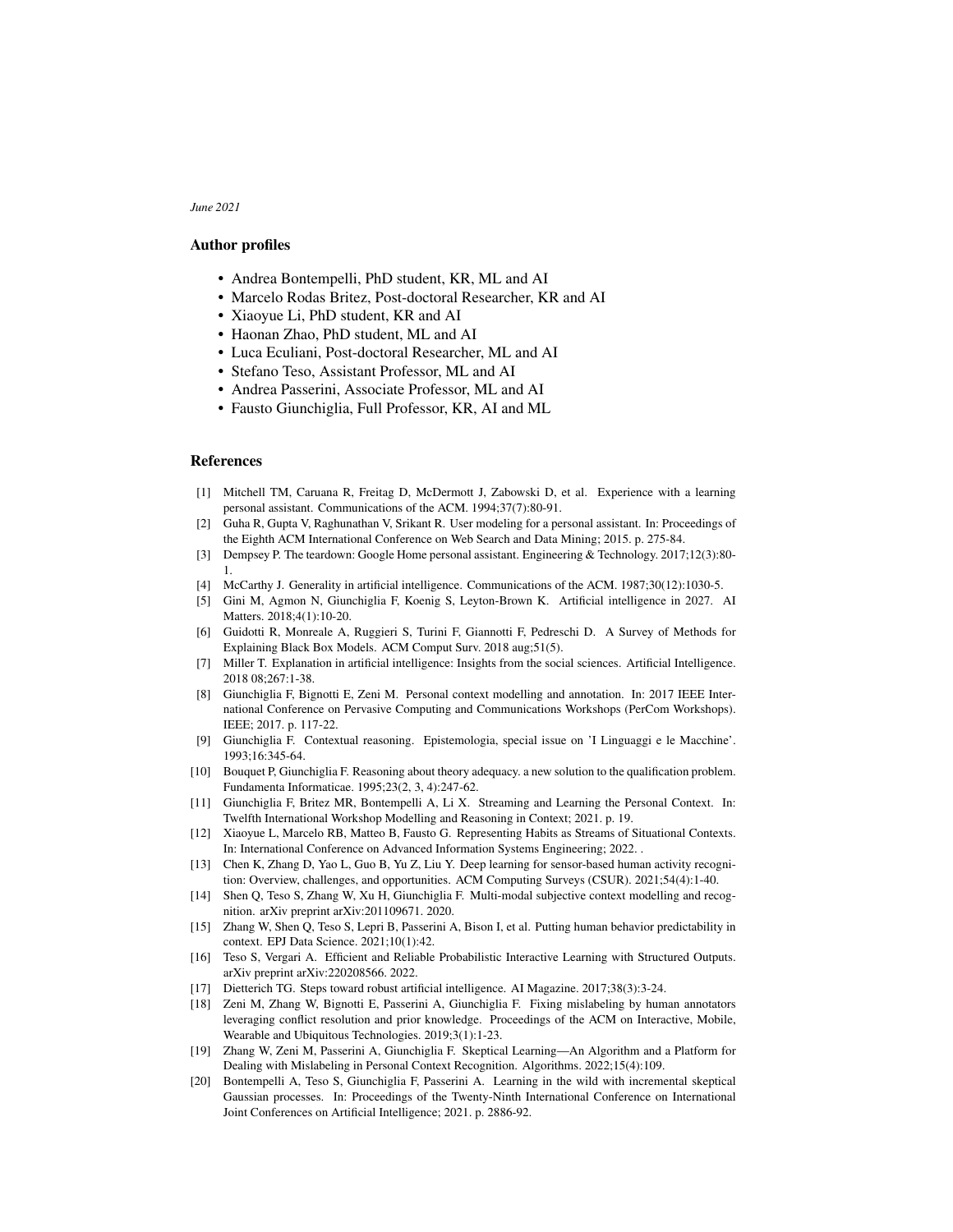## Author profiles

- Andrea Bontempelli, PhD student, KR, ML and AI
- Marcelo Rodas Britez, Post-doctoral Researcher, KR and AI
- Xiaoyue Li, PhD student, KR and AI
- Haonan Zhao, PhD student, ML and AI
- Luca Eculiani, Post-doctoral Researcher, ML and AI
- Stefano Teso, Assistant Professor, ML and AI
- Andrea Passerini, Associate Professor, ML and AI
- Fausto Giunchiglia, Full Professor, KR, AI and ML

## References

- <span id="page-6-0"></span>[1] Mitchell TM, Caruana R, Freitag D, McDermott J, Zabowski D, et al. Experience with a learning personal assistant. Communications of the ACM. 1994;37(7):80-91.
- <span id="page-6-1"></span>[2] Guha R, Gupta V, Raghunathan V, Srikant R. User modeling for a personal assistant. In: Proceedings of the Eighth ACM International Conference on Web Search and Data Mining; 2015. p. 275-84.
- <span id="page-6-2"></span>[3] Dempsey P. The teardown: Google Home personal assistant. Engineering & Technology. 2017;12(3):80- 1.
- <span id="page-6-3"></span>[4] McCarthy J. Generality in artificial intelligence. Communications of the ACM. 1987;30(12):1030-5.
- <span id="page-6-4"></span>[5] Gini M, Agmon N, Giunchiglia F, Koenig S, Leyton-Brown K. Artificial intelligence in 2027. AI Matters. 2018;4(1):10-20.
- <span id="page-6-5"></span>[6] Guidotti R, Monreale A, Ruggieri S, Turini F, Giannotti F, Pedreschi D. A Survey of Methods for Explaining Black Box Models. ACM Comput Surv. 2018 aug;51(5).
- <span id="page-6-6"></span>[7] Miller T. Explanation in artificial intelligence: Insights from the social sciences. Artificial Intelligence. 2018 08;267:1-38.
- <span id="page-6-7"></span>[8] Giunchiglia F, Bignotti E, Zeni M. Personal context modelling and annotation. In: 2017 IEEE International Conference on Pervasive Computing and Communications Workshops (PerCom Workshops). IEEE; 2017. p. 117-22.
- <span id="page-6-8"></span>[9] Giunchiglia F. Contextual reasoning. Epistemologia, special issue on 'I Linguaggi e le Macchine'. 1993;16:345-64.
- <span id="page-6-9"></span>[10] Bouquet P, Giunchiglia F. Reasoning about theory adequacy. a new solution to the qualification problem. Fundamenta Informaticae. 1995;23(2, 3, 4):247-62.
- <span id="page-6-10"></span>[11] Giunchiglia F, Britez MR, Bontempelli A, Li X. Streaming and Learning the Personal Context. In: Twelfth International Workshop Modelling and Reasoning in Context; 2021. p. 19.
- <span id="page-6-11"></span>[12] Xiaoyue L, Marcelo RB, Matteo B, Fausto G. Representing Habits as Streams of Situational Contexts. In: International Conference on Advanced Information Systems Engineering; 2022. .
- <span id="page-6-12"></span>[13] Chen K, Zhang D, Yao L, Guo B, Yu Z, Liu Y. Deep learning for sensor-based human activity recognition: Overview, challenges, and opportunities. ACM Computing Surveys (CSUR). 2021;54(4):1-40.
- <span id="page-6-13"></span>[14] Shen Q, Teso S, Zhang W, Xu H, Giunchiglia F. Multi-modal subjective context modelling and recognition. arXiv preprint arXiv:201109671. 2020.
- <span id="page-6-14"></span>[15] Zhang W, Shen Q, Teso S, Lepri B, Passerini A, Bison I, et al. Putting human behavior predictability in context. EPJ Data Science. 2021;10(1):42.
- <span id="page-6-15"></span>[16] Teso S, Vergari A. Efficient and Reliable Probabilistic Interactive Learning with Structured Outputs. arXiv preprint arXiv:220208566. 2022.
- <span id="page-6-16"></span>[17] Dietterich TG. Steps toward robust artificial intelligence. AI Magazine. 2017;38(3):3-24.
- <span id="page-6-17"></span>[18] Zeni M, Zhang W, Bignotti E, Passerini A, Giunchiglia F. Fixing mislabeling by human annotators leveraging conflict resolution and prior knowledge. Proceedings of the ACM on Interactive, Mobile, Wearable and Ubiquitous Technologies. 2019;3(1):1-23.
- <span id="page-6-18"></span>[19] Zhang W, Zeni M, Passerini A, Giunchiglia F. Skeptical Learning—An Algorithm and a Platform for Dealing with Mislabeling in Personal Context Recognition. Algorithms. 2022;15(4):109.
- <span id="page-6-19"></span>[20] Bontempelli A, Teso S, Giunchiglia F, Passerini A. Learning in the wild with incremental skeptical Gaussian processes. In: Proceedings of the Twenty-Ninth International Conference on International Joint Conferences on Artificial Intelligence; 2021. p. 2886-92.